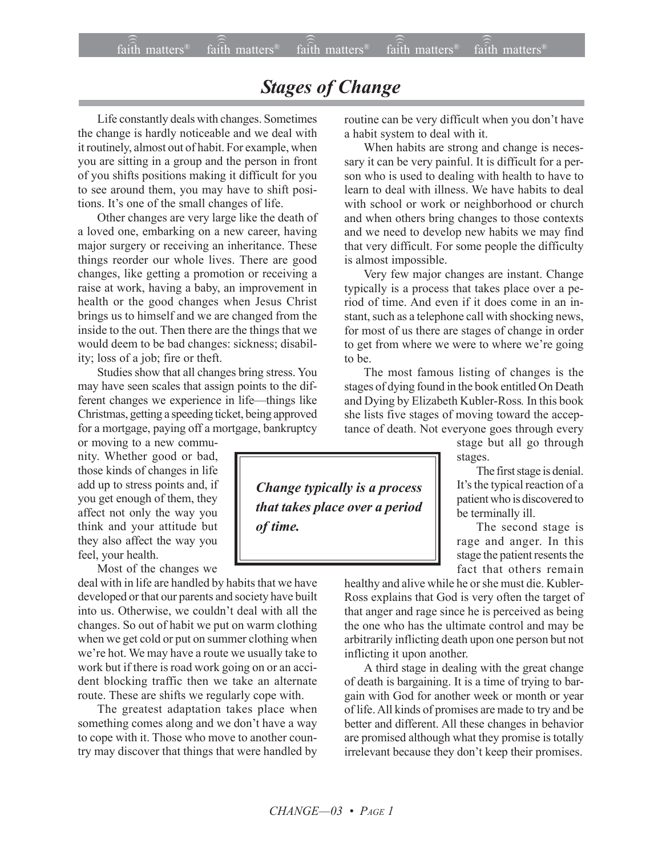## *Stages of Change*

Life constantly deals with changes. Sometimes the change is hardly noticeable and we deal with it routinely, almost out of habit. For example, when you are sitting in a group and the person in front of you shifts positions making it difficult for you to see around them, you may have to shift positions. It's one of the small changes of life.

Other changes are very large like the death of a loved one, embarking on a new career, having major surgery or receiving an inheritance. These things reorder our whole lives. There are good changes, like getting a promotion or receiving a raise at work, having a baby, an improvement in health or the good changes when Jesus Christ brings us to himself and we are changed from the inside to the out. Then there are the things that we would deem to be bad changes: sickness; disability; loss of a job; fire or theft.

Studies show that all changes bring stress. You may have seen scales that assign points to the different changes we experience in life-things like Christmas, getting a speeding ticket, being approved for a mortgage, paying off a mortgage, bankruptcy

or moving to a new community. Whether good or bad, those kinds of changes in life add up to stress points and, if you get enough of them, they affect not only the way you think and your attitude but they also affect the way you feel, your health.

Most of the changes we

deal with in life are handled by habits that we have developed or that our parents and society have built into us. Otherwise, we couldn't deal with all the changes. So out of habit we put on warm clothing when we get cold or put on summer clothing when we're hot. We may have a route we usually take to work but if there is road work going on or an accident blocking traffic then we take an alternate route. These are shifts we regularly cope with.

The greatest adaptation takes place when something comes along and we don't have a way to cope with it. Those who move to another country may discover that things that were handled by routine can be very difficult when you don't have a habit system to deal with it.

When habits are strong and change is necessary it can be very painful. It is difficult for a person who is used to dealing with health to have to learn to deal with illness. We have habits to deal with school or work or neighborhood or church and when others bring changes to those contexts and we need to develop new habits we may find that very difficult. For some people the difficulty is almost impossible.

Very few major changes are instant. Change typically is a process that takes place over a period of time. And even if it does come in an instant, such as a telephone call with shocking news, for most of us there are stages of change in order to get from where we were to where we're going to be.

The most famous listing of changes is the stages of dying found in the book entitled On Death and Dying by Elizabeth Kubler-Ross*.* In this book she lists five stages of moving toward the acceptance of death. Not everyone goes through every

stage but all go through stages.

The first stage is denial. It's the typical reaction of a patient who is discovered to be terminally ill.

The second stage is rage and anger. In this stage the patient resents the fact that others remain

healthy and alive while he or she must die. Kubler-Ross explains that God is very often the target of that anger and rage since he is perceived as being the one who has the ultimate control and may be arbitrarily inflicting death upon one person but not inflicting it upon another.

A third stage in dealing with the great change of death is bargaining. It is a time of trying to bargain with God for another week or month or year of life. All kinds of promises are made to try and be better and different. All these changes in behavior are promised although what they promise is totally irrelevant because they don't keep their promises.

*Change typically is a process that takes place over a period of time.*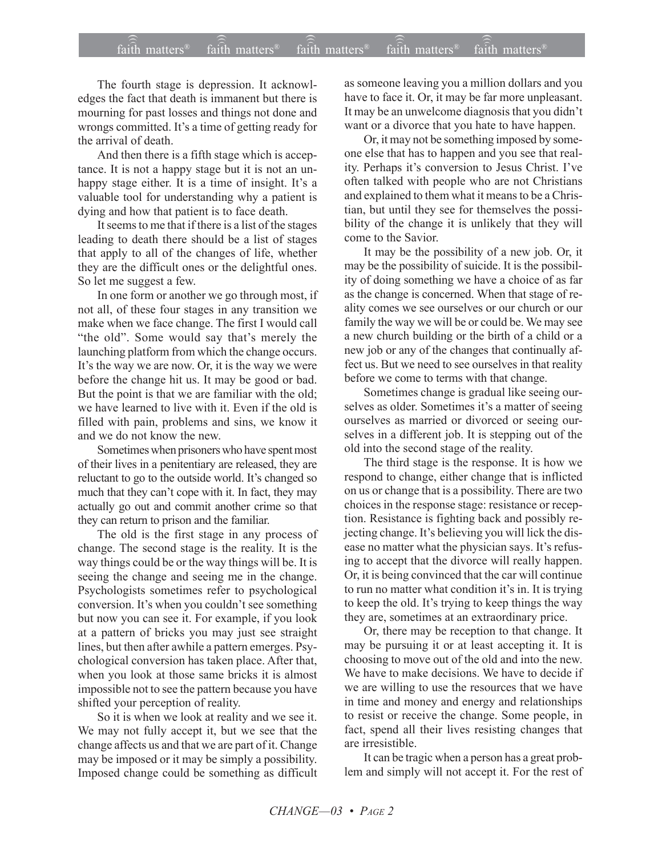The fourth stage is depression. It acknowledges the fact that death is immanent but there is mourning for past losses and things not done and wrongs committed. It's a time of getting ready for the arrival of death.

And then there is a fifth stage which is acceptance. It is not a happy stage but it is not an unhappy stage either. It is a time of insight. It's a valuable tool for understanding why a patient is dying and how that patient is to face death.

It seems to me that if there is a list of the stages leading to death there should be a list of stages that apply to all of the changes of life, whether they are the difficult ones or the delightful ones. So let me suggest a few.

In one form or another we go through most, if not all, of these four stages in any transition we make when we face change. The first I would call "the old". Some would say that's merely the launching platform from which the change occurs. It's the way we are now. Or, it is the way we were before the change hit us. It may be good or bad. But the point is that we are familiar with the old; we have learned to live with it. Even if the old is filled with pain, problems and sins, we know it and we do not know the new.

Sometimes when prisoners who have spent most of their lives in a penitentiary are released, they are reluctant to go to the outside world. It's changed so much that they can't cope with it. In fact, they may actually go out and commit another crime so that they can return to prison and the familiar.

The old is the first stage in any process of change. The second stage is the reality. It is the way things could be or the way things will be. It is seeing the change and seeing me in the change. Psychologists sometimes refer to psychological conversion. It's when you couldn't see something but now you can see it. For example, if you look at a pattern of bricks you may just see straight lines, but then after awhile a pattern emerges. Psychological conversion has taken place. After that, when you look at those same bricks it is almost impossible not to see the pattern because you have shifted your perception of reality.

So it is when we look at reality and we see it. We may not fully accept it, but we see that the change affects us and that we are part of it. Change may be imposed or it may be simply a possibility. Imposed change could be something as difficult

as someone leaving you a million dollars and you have to face it. Or, it may be far more unpleasant. It may be an unwelcome diagnosis that you didn't want or a divorce that you hate to have happen.

Or, it may not be something imposed by someone else that has to happen and you see that reality. Perhaps it's conversion to Jesus Christ. I've often talked with people who are not Christians and explained to them what it means to be a Christian, but until they see for themselves the possibility of the change it is unlikely that they will come to the Savior.

It may be the possibility of a new job. Or, it may be the possibility of suicide. It is the possibility of doing something we have a choice of as far as the change is concerned. When that stage of reality comes we see ourselves or our church or our family the way we will be or could be. We may see a new church building or the birth of a child or a new job or any of the changes that continually affect us. But we need to see ourselves in that reality before we come to terms with that change.

Sometimes change is gradual like seeing ourselves as older. Sometimes it's a matter of seeing ourselves as married or divorced or seeing ourselves in a different job. It is stepping out of the old into the second stage of the reality.

The third stage is the response. It is how we respond to change, either change that is inflicted on us or change that is a possibility. There are two choices in the response stage: resistance or reception. Resistance is fighting back and possibly rejecting change. It's believing you will lick the disease no matter what the physician says. It's refusing to accept that the divorce will really happen. Or, it is being convinced that the car will continue to run no matter what condition it's in. It is trying to keep the old. It's trying to keep things the way they are, sometimes at an extraordinary price.

Or, there may be reception to that change. It may be pursuing it or at least accepting it. It is choosing to move out of the old and into the new. We have to make decisions. We have to decide if we are willing to use the resources that we have in time and money and energy and relationships to resist or receive the change. Some people, in fact, spend all their lives resisting changes that are irresistible.

It can be tragic when a person has a great problem and simply will not accept it. For the rest of